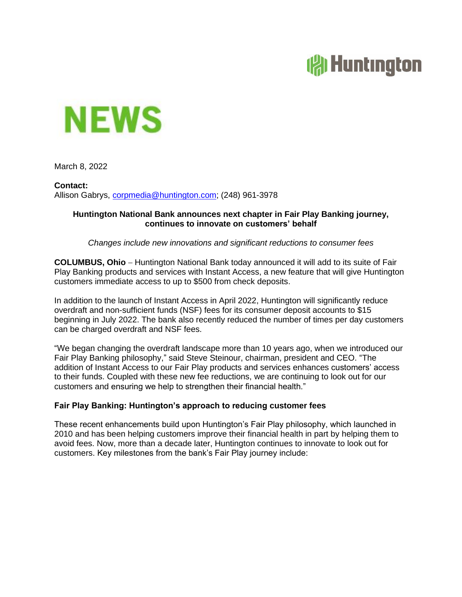# **(常Huntington**



March 8, 2022

**Contact:** Allison Gabrys, [corpmedia@huntington.com;](mailto:Emily.Smith@huntington.com) (248) 961-3978

#### **Huntington National Bank announces next chapter in Fair Play Banking journey, continues to innovate on customers' behalf**

*Changes include new innovations and significant reductions to consumer fees*

**COLUMBUS, Ohio** − Huntington National Bank today announced it will add to its suite of Fair Play Banking products and services with Instant Access, a new feature that will give Huntington customers immediate access to up to \$500 from check deposits.

In addition to the launch of Instant Access in April 2022, Huntington will significantly reduce overdraft and non-sufficient funds (NSF) fees for its consumer deposit accounts to \$15 beginning in July 2022. The bank also recently reduced the number of times per day customers can be charged overdraft and NSF fees.

"We began changing the overdraft landscape more than 10 years ago, when we introduced our Fair Play Banking philosophy," said Steve Steinour, chairman, president and CEO. "The addition of Instant Access to our Fair Play products and services enhances customers' access to their funds. Coupled with these new fee reductions, we are continuing to look out for our customers and ensuring we help to strengthen their financial health."

## **Fair Play Banking: Huntington's approach to reducing customer fees**

These recent enhancements build upon Huntington's Fair Play philosophy, which launched in 2010 and has been helping customers improve their financial health in part by helping them to avoid fees. Now, more than a decade later, Huntington continues to innovate to look out for customers. Key milestones from the bank's Fair Play journey include: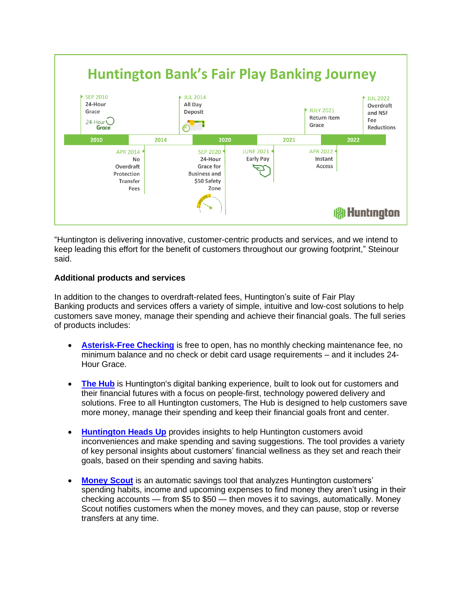

"Huntington is delivering innovative, customer-centric products and services, and we intend to keep leading this effort for the benefit of customers throughout our growing footprint," Steinour said.

## **Additional products and services**

In addition to the changes to overdraft-related fees, Huntington's suite of Fair Play Banking products and services offers a variety of simple, intuitive and low-cost solutions to help customers save money, manage their spending and achieve their financial goals. The full series of products includes:

- **[Asterisk-Free Checking](https://www.huntington.com/Personal/checking/asterisk-free-checking)** is free to open, has no monthly checking maintenance fee, no minimum balance and no check or debit card usage requirements – and it includes 24- Hour Grace.
- **[The Hub](https://www.huntington.com/Personal/online-banking/digital-banking-tools)** is Huntington's digital banking experience, built to look out for customers and their financial futures with a focus on people-first, technology powered delivery and solutions. Free to all Huntington customers, The Hub is designed to help customers save more money, manage their spending and keep their financial goals front and center.
- **[Huntington Heads Up](https://www.huntington.com/Personal/online-banking/heads-up)** provides insights to help Huntington customers avoid inconveniences and make spending and saving suggestions. The tool provides a variety of key personal insights about customers' financial wellness as they set and reach their goals, based on their spending and saving habits.
- **[Money Scout](https://www.huntington.com/Personal/online-banking/money-scout)** is an automatic savings tool that analyzes Huntington customers' spending habits, income and upcoming expenses to find money they aren't using in their checking accounts — from \$5 to \$50 — then moves it to savings, automatically. Money Scout notifies customers when the money moves, and they can pause, stop or reverse transfers at any time.